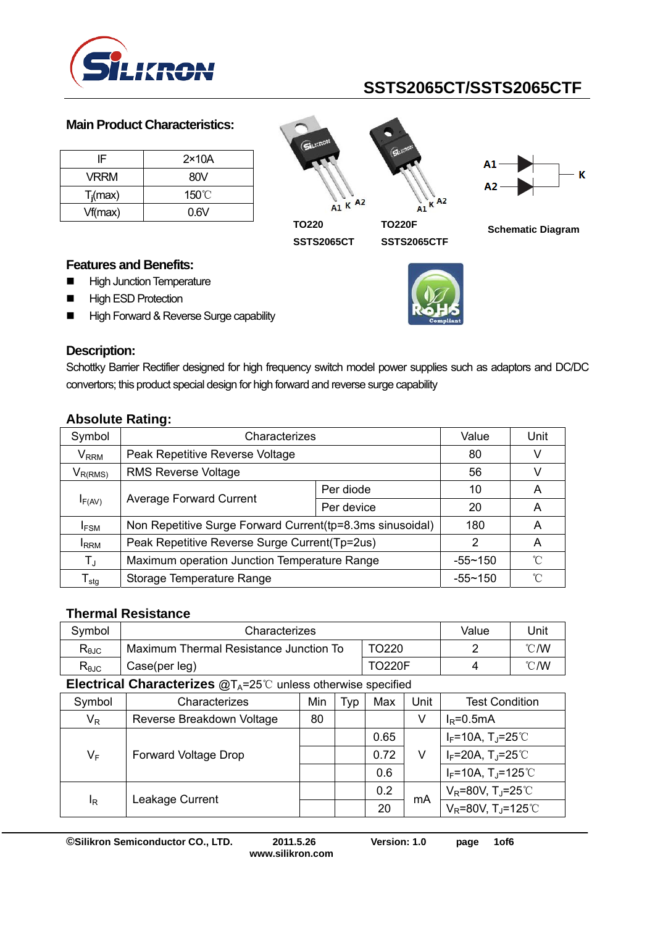

#### **Main Product Characteristics:**

| IF.         | $2\times 10A$   |
|-------------|-----------------|
| <b>VRRM</b> | 80V             |
| $T_i$ (max) | $150^{\circ}$ C |
| Vf(max)     | 0.6V            |

 $A1 K A2$ 

**SSTS2065CT** 





**TO220** 

**TO220F SSTS2065CTF** 



**Schematic Diagram** 

### **Features and Benefits:**

- **High Junction Temperature**
- **High ESD Protection**
- High Forward & Reverse Surge capability



#### **Description:**

Schottky Barrier Rectifier designed for high frequency switch model power supplies such as adaptors and DC/DC convertors; this product special design for high forward and reverse surge capability

| Symbol                       | Characterizes                                             | Value       | Unit         |   |  |
|------------------------------|-----------------------------------------------------------|-------------|--------------|---|--|
| $\mathsf{V}_{\mathsf{RRM}}$  | Peak Repetitive Reverse Voltage                           | 80          |              |   |  |
| $V_{R(RMS)}$                 | <b>RMS Reverse Voltage</b>                                |             |              |   |  |
| $I_{F(AV)}$                  |                                                           | Per diode   | 10           | A |  |
|                              | <b>Average Forward Current</b>                            | Per device  | 20           | A |  |
| <b>IFSM</b>                  | Non Repetitive Surge Forward Current(tp=8.3ms sinusoidal) | 180         | A            |   |  |
| <b>I</b> RRM                 | Peak Repetitive Reverse Surge Current(Tp=2us)             | 2           | A            |   |  |
| $T_{J}$                      | Maximum operation Junction Temperature Range              | $-55 - 150$ | $^{\circ}$ C |   |  |
| ${\mathsf T}_{\textsf{stg}}$ | Storage Temperature Range                                 | $-55 - 150$ | $^{\circ}$ C |   |  |

## **Absolute Rating:**

### **Thermal Resistance**

| Svmbol         | Characterizes                          | Value         | Jnit           |      |
|----------------|----------------------------------------|---------------|----------------|------|
| $R_{\theta$ JC | Maximum Thermal Resistance Junction To |               | $^{\circ}$ C/W |      |
| $R_{\theta$ JC | Case(per leg)                          | <b>TO220F</b> |                | °C/W |

**Electrical Characterizes @TA=25 ℃ unless otherwise specified** 

| Symbol | Characterizes               | Min | Typ | Max  | Unit | <b>Test Condition</b>                         |
|--------|-----------------------------|-----|-----|------|------|-----------------------------------------------|
| $V_R$  | Reverse Breakdown Voltage   | 80  |     |      | V    | $I_R = 0.5mA$                                 |
|        |                             |     |     | 0.65 |      | $I_F$ =10A, T <sub>J</sub> =25°C              |
| $V_F$  | <b>Forward Voltage Drop</b> |     |     | 0.72 | V    | $I_F = 20A$ , T <sub>J</sub> =25°C            |
|        |                             |     |     | 0.6  |      | $I_F = 10A$ , T <sub>J</sub> =125°C           |
| ΙŖ     | Leakage Current             |     |     | 0.2  | mA   | $V_R$ =80V, T <sub>J</sub> =25 <sup>°</sup> C |
|        |                             |     |     | 20   |      | $V_R = 80V$ , T <sub>J</sub> =125℃            |

**©Silikron Semiconductor CO., LTD. 2011.5.26 Version: 1.0 page 1of6** 

**www.silikron.com**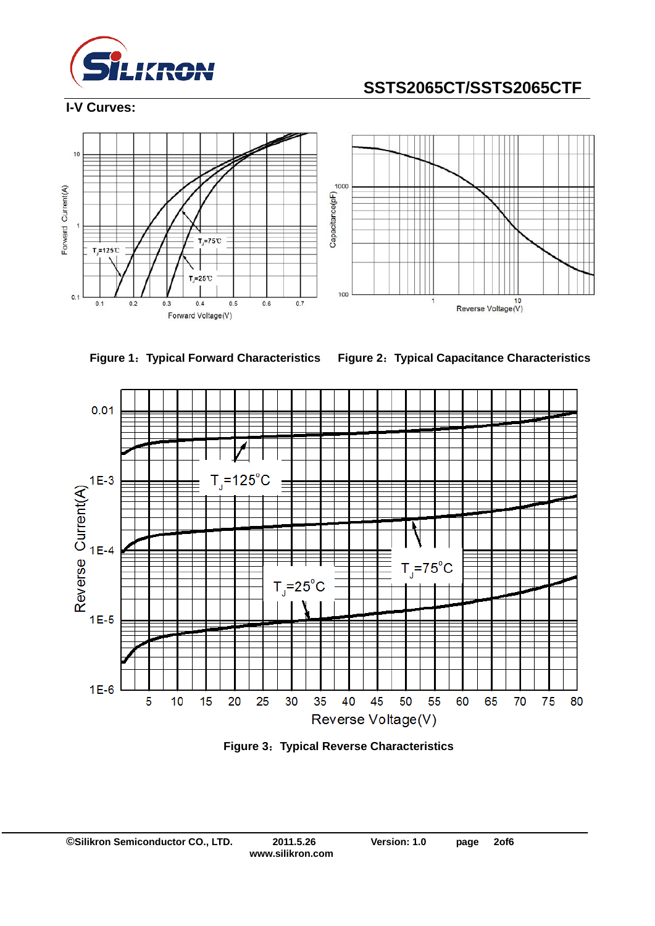

**I-V Curves:** 







**Figure 1**:**Typical Forward Characteristics Figure 2**:**Typical Capacitance Characteristics** 



**Figure 3**:**Typical Reverse Characteristics**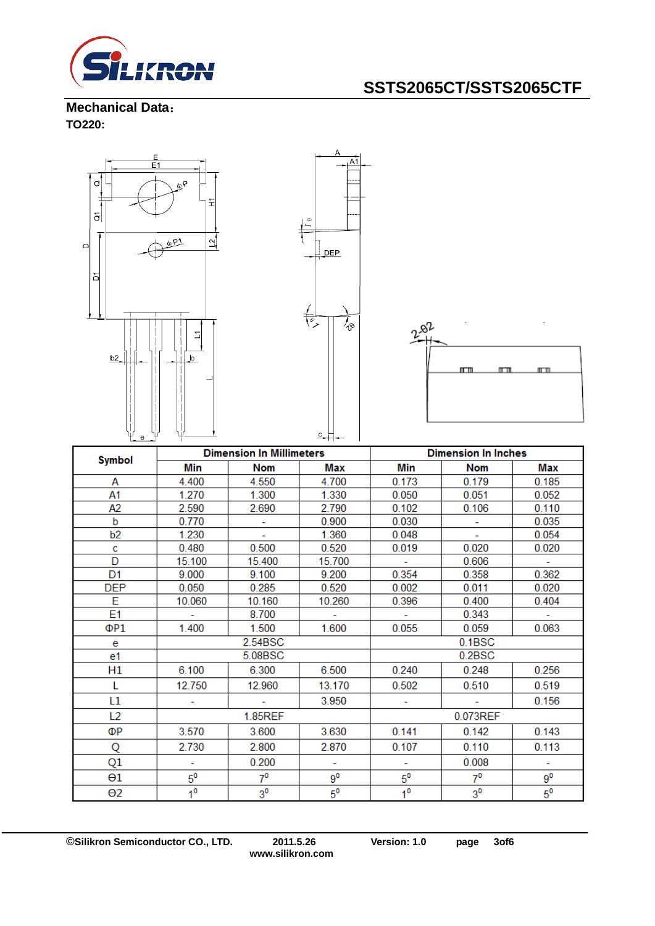

**Mechanical Data**: **TO220:** 



| <b>Dimension In Millimeters</b><br><b>Symbol</b> |                |                | <b>Dimension In Inches</b> |                |                          |             |
|--------------------------------------------------|----------------|----------------|----------------------------|----------------|--------------------------|-------------|
|                                                  | Min            | <b>Nom</b>     | Max                        | Min            | <b>Nom</b>               | Max         |
| А                                                | 4.400          | 4.550          | 4.700                      | 0.173          | 0.179                    | 0.185       |
| A1                                               | 1.270          | 1.300          | 1.330                      | 0.050          | 0.051                    | 0.052       |
| A2                                               | 2.590          | 2.690          | 2.790                      | 0.102          | 0.106                    | 0.110       |
| b                                                | 0.770          |                | 0.900                      | 0.030          |                          | 0.035       |
| b <sub>2</sub>                                   | 1.230          | ÷              | 1.360                      | 0.048          | $\overline{\phantom{a}}$ | 0.054       |
| c                                                | 0.480          | 0.500          | 0.520                      | 0.019          | 0.020                    | 0.020       |
| D                                                | 15.100         | 15.400         | 15.700                     |                | 0.606                    |             |
| D <sub>1</sub>                                   | 9.000          | 9.100          | 9.200                      | 0.354          | 0.358                    | 0.362       |
| <b>DEP</b>                                       | 0.050          | 0.285          | 0.520                      | 0.002          | 0.011                    | 0.020       |
| E                                                | 10.060         | 10.160         | 10.260                     | 0.396          | 0.400                    | 0.404       |
| E <sub>1</sub>                                   |                | 8.700          |                            |                | 0.343                    |             |
| ΦP1                                              | 1.400          | 1.500          | 1.600                      | 0.055          | 0.059                    | 0.063       |
| e                                                |                | 2.54BSC        |                            | 0.1BSC         |                          |             |
| e1                                               |                | 5.08BSC        |                            | 0.2BSC         |                          |             |
| H1                                               | 6.100          | 6.300          | 6.500                      | 0.240          | 0.248                    | 0.256       |
| L                                                | 12.750         | 12.960         | 13.170                     | 0.502          | 0.510                    | 0.519       |
| L1                                               |                |                | 3.950                      |                |                          | 0.156       |
| L <sub>2</sub>                                   |                | <b>1.85REF</b> |                            | 0.073REF       |                          |             |
| ΦР                                               | 3.570          | 3.600          | 3.630                      | 0.141          | 0.142                    | 0.143       |
| Q                                                | 2.730          | 2.800          | 2.870                      | 0.107          | 0.110                    | 0.113       |
| Q1                                               |                | 0.200          | ÷                          |                | 0.008                    | ÷           |
| θ1                                               | $5^{\circ}$    | $7^{\circ}$    | $9^0$                      | $5^{\circ}$    | $7^0$                    | $9^0$       |
| $\Theta$ 2                                       | 1 <sup>0</sup> | 3 <sup>0</sup> | $5^0$                      | 1 <sup>0</sup> | 3 <sup>0</sup>           | $5^{\circ}$ |

**©Silikron Semiconductor CO., LTD. 2011.5.26 Version: 1.0 page 3of6**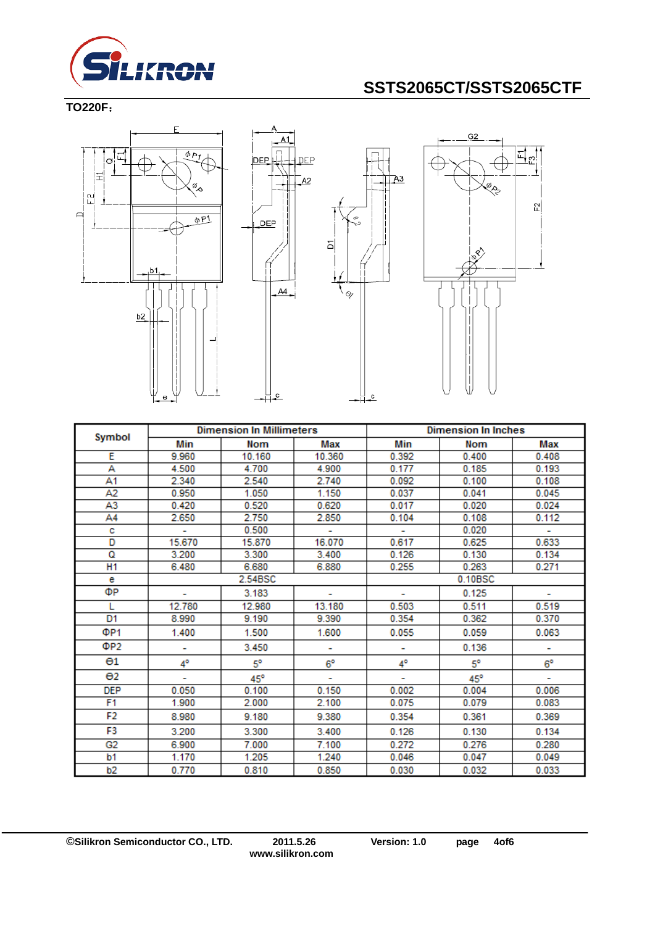

#### **TO220F**:







|                       | <b>Dimension In Millimeters</b> |           | <b>Dimension In Inches</b> |         |            |             |
|-----------------------|---------------------------------|-----------|----------------------------|---------|------------|-------------|
| Symbol                | Min                             | Nom       | Max                        | Min     | <b>Nom</b> | Max         |
| Ε                     | 9.960                           | 10.160    | 10.360                     | 0.392   | 0.400      | 0.408       |
| А                     | 4.500                           | 4.700     | 4.900                      | 0.177   | 0.185      | 0.193       |
| A1                    | 2.340                           | 2.540     | 2.740                      | 0.092   | 0.100      | 0.108       |
| A2                    | 0.950                           | 1.050     | 1.150                      | 0.037   | 0.041      | 0.045       |
| A3                    | 0.420                           | 0.520     | 0.620                      | 0.017   | 0.020      | 0.024       |
| A4                    | 2.650                           | 2.750     | 2.850                      | 0.104   | 0.108      | 0.112       |
| с                     |                                 | 0.500     | ۰                          |         | 0.020      | ÷.          |
| D                     | 15.670                          | 15.870    | 16.070                     | 0.617   | 0.625      | 0.633       |
| ۵                     | 3.200                           | 3.300     | 3.400                      | 0.126   | 0.130      | 0.134       |
| H <sub>1</sub>        | 6.480                           | 6.680     | 6.880                      | 0.255   | 0.263      | 0.271       |
| е                     |                                 | 2.54BSC   |                            | 0.10BSC |            |             |
| ФР                    |                                 | 3.183     |                            |         | 0.125      |             |
| L                     | 12.780                          | 12.980    | 13.180                     | 0.503   | 0.511      | 0.519       |
| D1                    | 8.990                           | 9.190     | 9.390                      | 0.354   | 0.362      | 0.370       |
| ΦP <sub>1</sub>       | 1.400                           | 1.500     | 1.600                      | 0.055   | 0.059      | 0.063       |
| ΦP <sub>2</sub>       | ۰                               | 3.450     | ۰                          | ۰       | 0.136      | ۰           |
| $\Theta$ 1            | 4°                              | $5^\circ$ | $6^\circ$                  | 4°      | 5°         | $6^{\circ}$ |
| $\Theta$ <sub>2</sub> | ٠                               | 45°       | ۰                          | ٠       | 45°        | ٠           |
| <b>DEP</b>            | 0.050                           | 0.100     | 0.150                      | 0.002   | 0.004      | 0.006       |
| F <sub>1</sub>        | 1.900                           | 2.000     | 2.100                      | 0.075   | 0.079      | 0.083       |
| F2                    | 8.980                           | 9.180     | 9.380                      | 0.354   | 0.361      | 0.369       |
| F3                    | 3.200                           | 3.300     | 3.400                      | 0.126   | 0.130      | 0.134       |
| G2                    | 6.900                           | 7.000     | 7.100                      | 0.272   | 0.276      | 0.280       |
| b1                    | 1.170                           | 1.205     | 1.240                      | 0.046   | 0.047      | 0.049       |
| b2                    | 0.770                           | 0.810     | 0.850                      | 0.030   | 0.032      | 0.033       |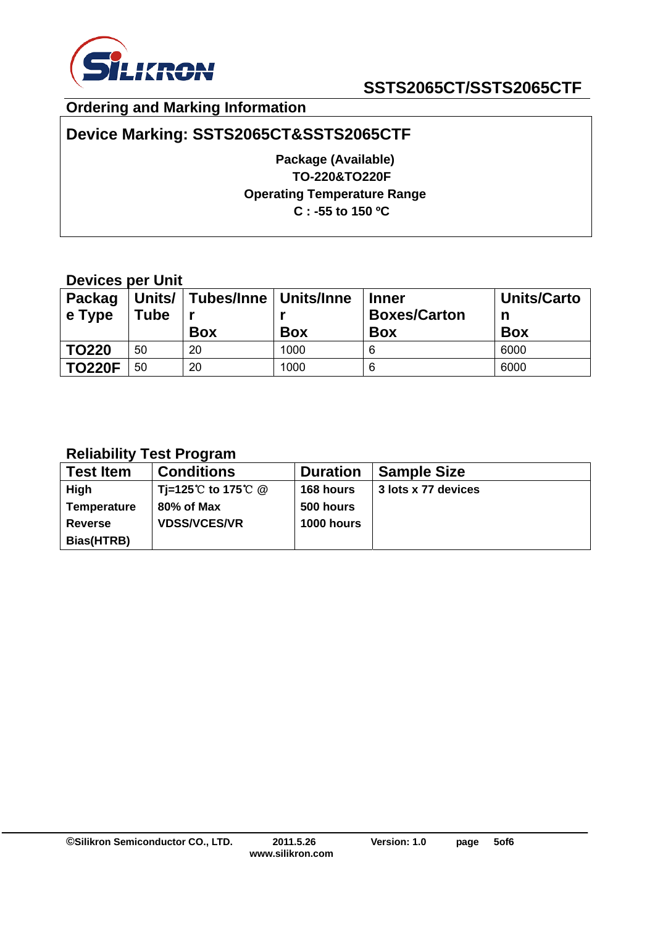

## **Ordering and Marking Information**

## **Device Marking: SSTS2065CT&SSTS2065CTF**

**Package (Available) TO-220&TO220F Operating Temperature Range C : -55 to 150 ºC** 

## **Devices per Unit**

| <b>Packag</b><br>$\vert$ e Type | Tube | Units/   Tubes/Inne   Units/Inne<br><b>Box</b> | <b>Box</b> | <b>Inner</b><br><b>Boxes/Carton</b><br><b>Box</b> | <b>Units/Carto</b><br>n<br><b>Box</b> |
|---------------------------------|------|------------------------------------------------|------------|---------------------------------------------------|---------------------------------------|
| <b>TO220</b>                    | 50   | 20                                             | 1000       | 6                                                 | 6000                                  |
| <b>TO220F</b>                   | 50   | 20                                             | 1000       | 6                                                 | 6000                                  |

## **Reliability Test Program**

| <b>Test Item</b>   | <b>Conditions</b>   | <b>Duration</b> | <b>Sample Size</b>  |
|--------------------|---------------------|-----------------|---------------------|
| High               | Ti=125℃ to 175℃ @   | 168 hours       | 3 lots x 77 devices |
| <b>Temperature</b> | 80% of Max          | 500 hours       |                     |
| <b>Reverse</b>     | <b>VDSS/VCES/VR</b> | 1000 hours      |                     |
| Bias(HTRB)         |                     |                 |                     |